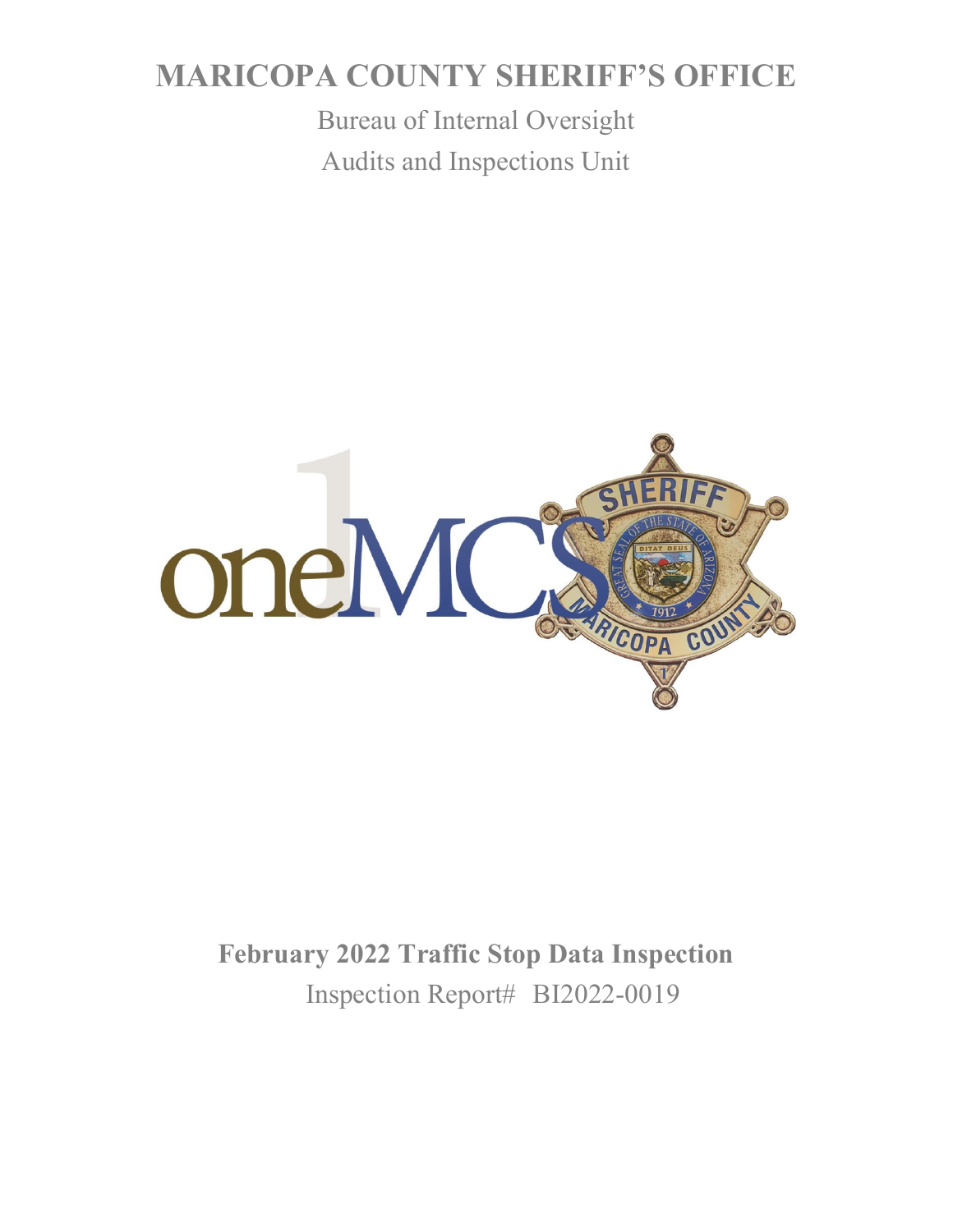# **MARICOPA COUNTY SHERIFF'S OFFICE**

Bureau of Internal Oversight Audits and Inspections Unit



## **February 2022 Traffic Stop Data Inspection** Inspection Report# BI2022-0019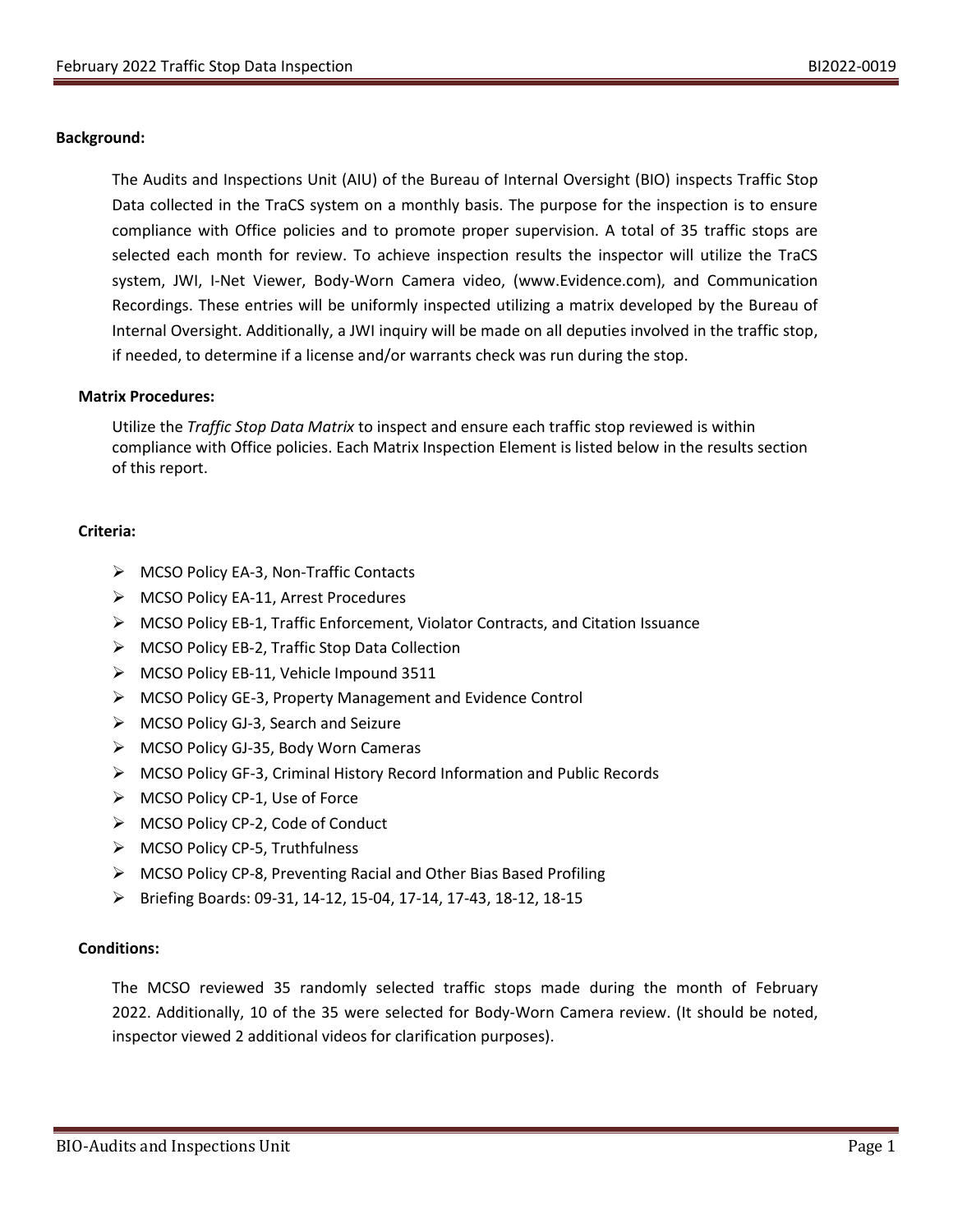#### **Background:**

The Audits and Inspections Unit (AIU) of the Bureau of Internal Oversight (BIO) inspects Traffic Stop Data collected in the TraCS system on a monthly basis. The purpose for the inspection is to ensure compliance with Office policies and to promote proper supervision. A total of 35 traffic stops are selected each month for review. To achieve inspection results the inspector will utilize the TraCS system, JWI, I-Net Viewer, Body-Worn Camera video, (www.Evidence.com), and Communication Recordings. These entries will be uniformly inspected utilizing a matrix developed by the Bureau of Internal Oversight. Additionally, a JWI inquiry will be made on all deputies involved in the traffic stop, if needed, to determine if a license and/or warrants check was run during the stop.

#### **Matrix Procedures:**

Utilize the *Traffic Stop Data Matrix* to inspect and ensure each traffic stop reviewed is within compliance with Office policies. Each Matrix Inspection Element is listed below in the results section of this report.

#### **Criteria:**

- ➢ MCSO Policy EA-3, Non-Traffic Contacts
- ➢ MCSO Policy EA-11, Arrest Procedures
- ➢ MCSO Policy EB-1, Traffic Enforcement, Violator Contracts, and Citation Issuance
- ➢ MCSO Policy EB-2, Traffic Stop Data Collection
- ➢ MCSO Policy EB-11, Vehicle Impound 3511
- ➢ MCSO Policy GE-3, Property Management and Evidence Control
- ➢ MCSO Policy GJ-3, Search and Seizure
- ➢ MCSO Policy GJ-35, Body Worn Cameras
- ➢ MCSO Policy GF-3, Criminal History Record Information and Public Records
- ➢ MCSO Policy CP-1, Use of Force
- ➢ MCSO Policy CP-2, Code of Conduct
- ➢ MCSO Policy CP-5, Truthfulness
- ➢ MCSO Policy CP-8, Preventing Racial and Other Bias Based Profiling
- ➢ Briefing Boards: 09-31, 14-12, 15-04, 17-14, 17-43, 18-12, 18-15

#### **Conditions:**

The MCSO reviewed 35 randomly selected traffic stops made during the month of February 2022. Additionally, 10 of the 35 were selected for Body-Worn Camera review. (It should be noted, inspector viewed 2 additional videos for clarification purposes).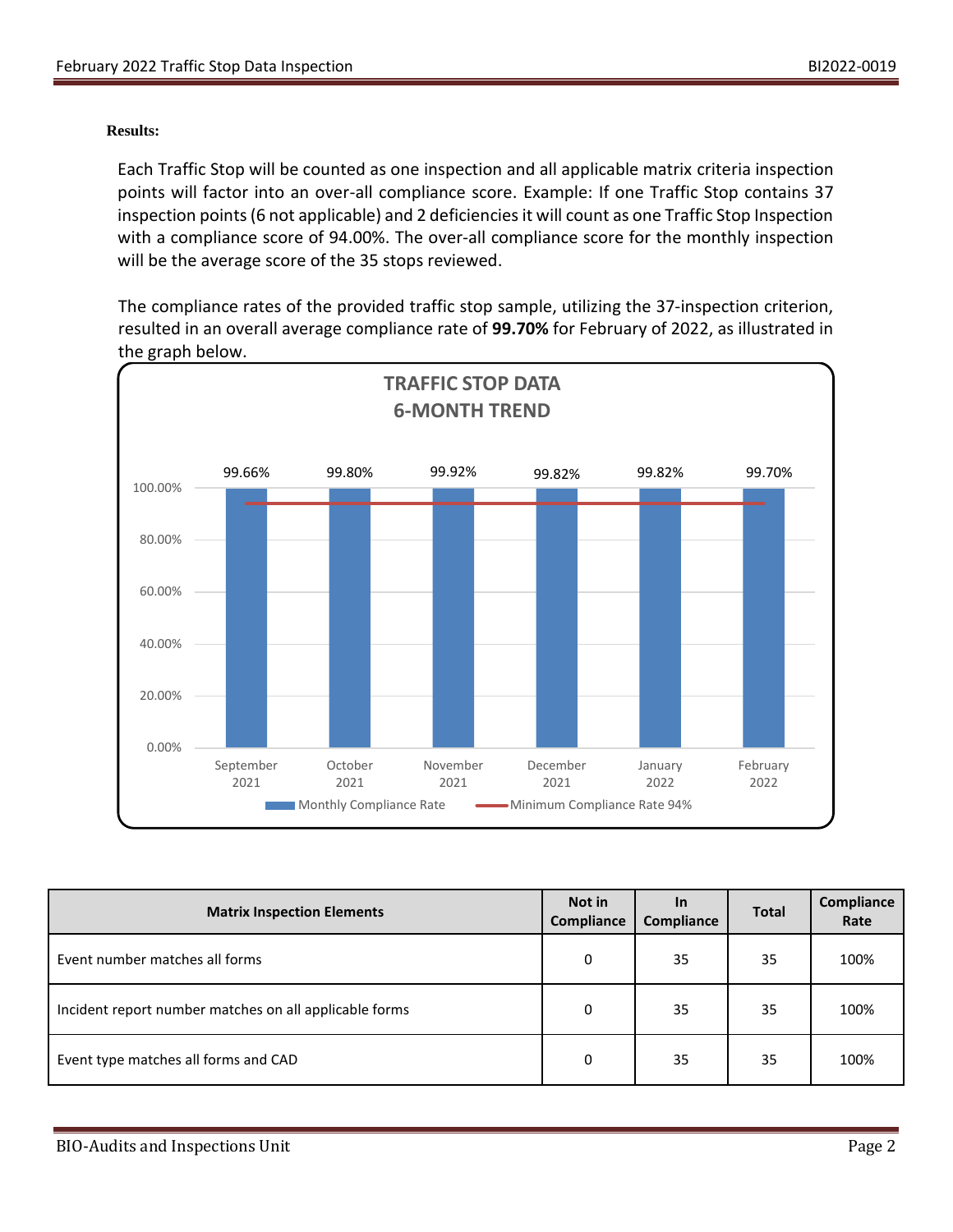#### **Results:**

Each Traffic Stop will be counted as one inspection and all applicable matrix criteria inspection points will factor into an over-all compliance score. Example: If one Traffic Stop contains 37 inspection points (6 not applicable) and 2 deficiencies it will count as one Traffic Stop Inspection with a compliance score of 94.00%. The over-all compliance score for the monthly inspection will be the average score of the 35 stops reviewed.

The compliance rates of the provided traffic stop sample, utilizing the 37-inspection criterion, resulted in an overall average compliance rate of **99.70%** for February of 2022, as illustrated in the graph below.



| <b>Matrix Inspection Elements</b>                      | Not in<br><b>Compliance</b> | <b>In</b><br>Compliance | <b>Total</b> | Compliance<br>Rate |
|--------------------------------------------------------|-----------------------------|-------------------------|--------------|--------------------|
| Event number matches all forms                         | 0                           | 35                      | 35           | 100%               |
| Incident report number matches on all applicable forms | 0                           | 35                      | 35           | 100%               |
| Event type matches all forms and CAD                   | 0                           | 35                      | 35           | 100%               |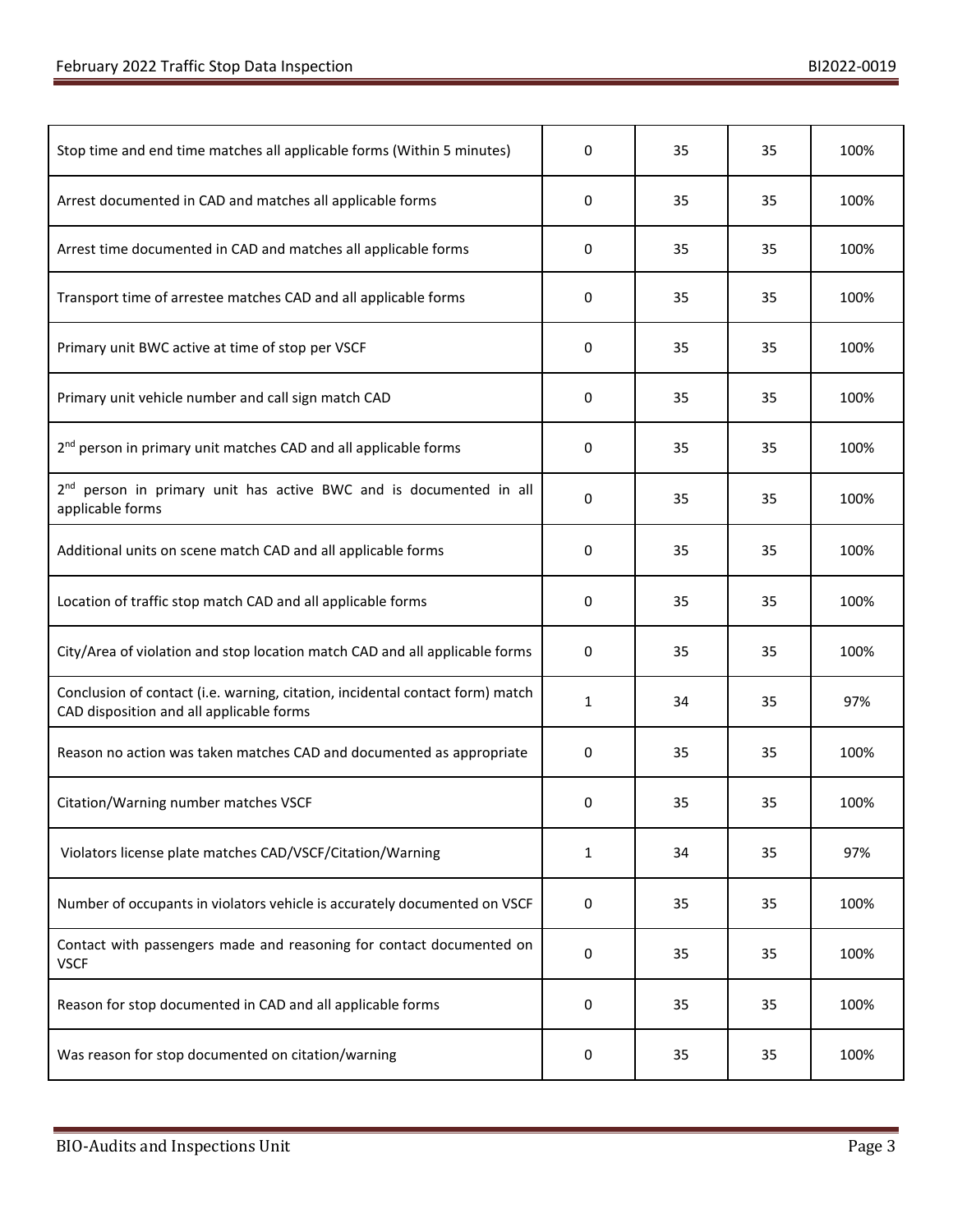| Stop time and end time matches all applicable forms (Within 5 minutes)                                                    | 0            | 35 | 35 | 100% |
|---------------------------------------------------------------------------------------------------------------------------|--------------|----|----|------|
| Arrest documented in CAD and matches all applicable forms                                                                 | 0            | 35 | 35 | 100% |
| Arrest time documented in CAD and matches all applicable forms                                                            | 0            | 35 | 35 | 100% |
| Transport time of arrestee matches CAD and all applicable forms                                                           | 0            | 35 | 35 | 100% |
| Primary unit BWC active at time of stop per VSCF                                                                          | $\mathbf 0$  | 35 | 35 | 100% |
| Primary unit vehicle number and call sign match CAD                                                                       | 0            | 35 | 35 | 100% |
| 2 <sup>nd</sup> person in primary unit matches CAD and all applicable forms                                               | 0            | 35 | 35 | 100% |
| 2 <sup>nd</sup> person in primary unit has active BWC and is documented in all<br>applicable forms                        | 0            | 35 | 35 | 100% |
| Additional units on scene match CAD and all applicable forms                                                              | 0            | 35 | 35 | 100% |
| Location of traffic stop match CAD and all applicable forms                                                               | 0            | 35 | 35 | 100% |
| City/Area of violation and stop location match CAD and all applicable forms                                               | 0            | 35 | 35 | 100% |
| Conclusion of contact (i.e. warning, citation, incidental contact form) match<br>CAD disposition and all applicable forms | $\mathbf{1}$ | 34 | 35 | 97%  |
| Reason no action was taken matches CAD and documented as appropriate                                                      | 0            | 35 | 35 | 100% |
| Citation/Warning number matches VSCF                                                                                      | 0            | 35 | 35 | 100% |
| Violators license plate matches CAD/VSCF/Citation/Warning                                                                 | 1            | 34 | 35 | 97%  |
| Number of occupants in violators vehicle is accurately documented on VSCF                                                 | 0            | 35 | 35 | 100% |
| Contact with passengers made and reasoning for contact documented on<br><b>VSCF</b>                                       | 0            | 35 | 35 | 100% |
| Reason for stop documented in CAD and all applicable forms                                                                | 0            | 35 | 35 | 100% |
| Was reason for stop documented on citation/warning                                                                        | 0            | 35 | 35 | 100% |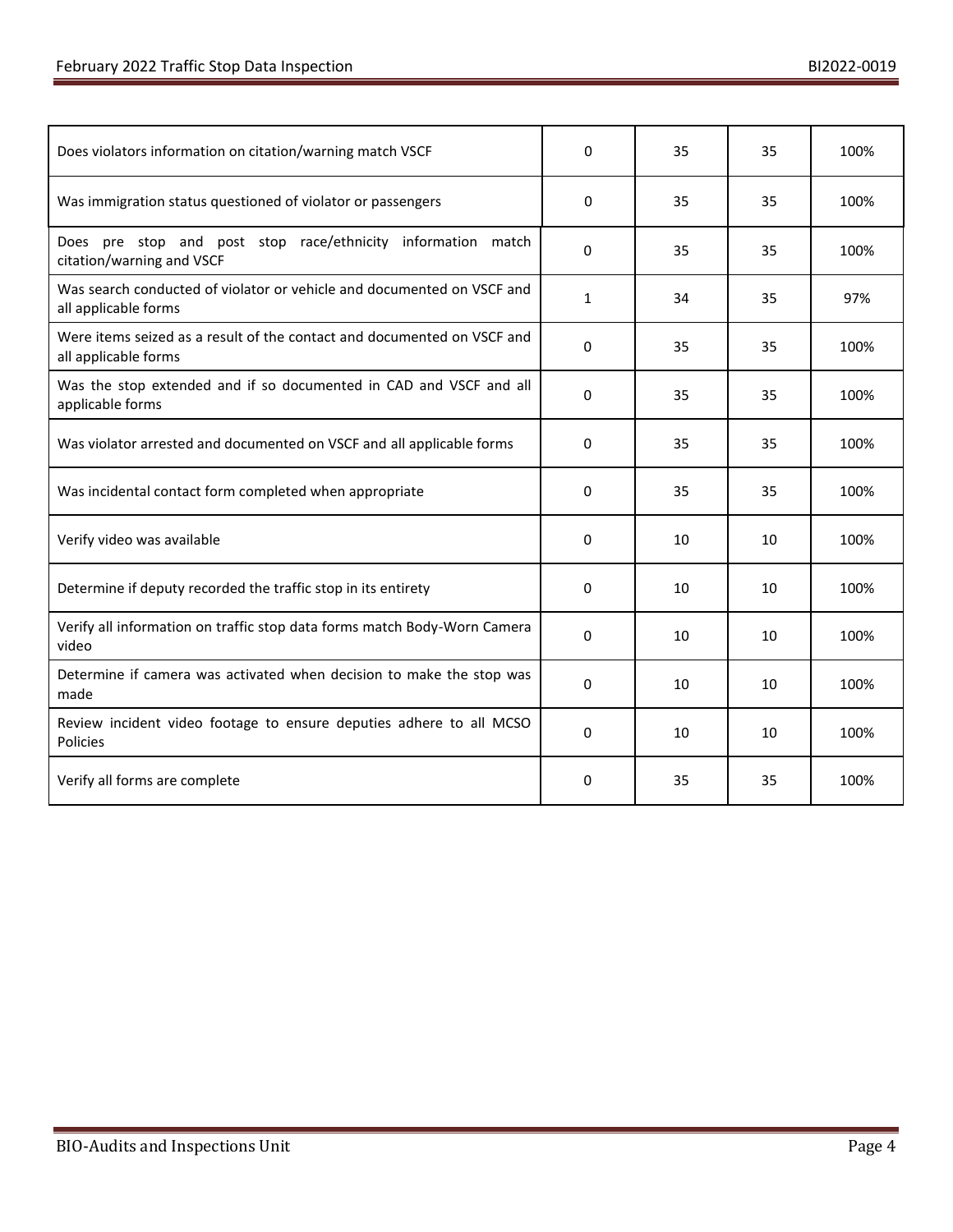| Does violators information on citation/warning match VSCF                                       |              | 35 | 35 | 100% |
|-------------------------------------------------------------------------------------------------|--------------|----|----|------|
| Was immigration status questioned of violator or passengers                                     | 0            | 35 | 35 | 100% |
| Does pre stop and post stop race/ethnicity information match<br>citation/warning and VSCF       | 0            | 35 | 35 | 100% |
| Was search conducted of violator or vehicle and documented on VSCF and<br>all applicable forms  | 1            | 34 | 35 | 97%  |
| Were items seized as a result of the contact and documented on VSCF and<br>all applicable forms | 0            | 35 | 35 | 100% |
| Was the stop extended and if so documented in CAD and VSCF and all<br>applicable forms          | $\Omega$     | 35 | 35 | 100% |
| Was violator arrested and documented on VSCF and all applicable forms                           | 0            | 35 | 35 | 100% |
| Was incidental contact form completed when appropriate                                          | 0            | 35 | 35 | 100% |
| Verify video was available                                                                      | 0            | 10 | 10 | 100% |
| Determine if deputy recorded the traffic stop in its entirety                                   | 0            | 10 | 10 | 100% |
| Verify all information on traffic stop data forms match Body-Worn Camera<br>video               | 0            | 10 | 10 | 100% |
| Determine if camera was activated when decision to make the stop was<br>made                    | 0            | 10 | 10 | 100% |
| Review incident video footage to ensure deputies adhere to all MCSO<br>Policies                 | $\mathbf{0}$ | 10 | 10 | 100% |
| Verify all forms are complete                                                                   | 0            | 35 | 35 | 100% |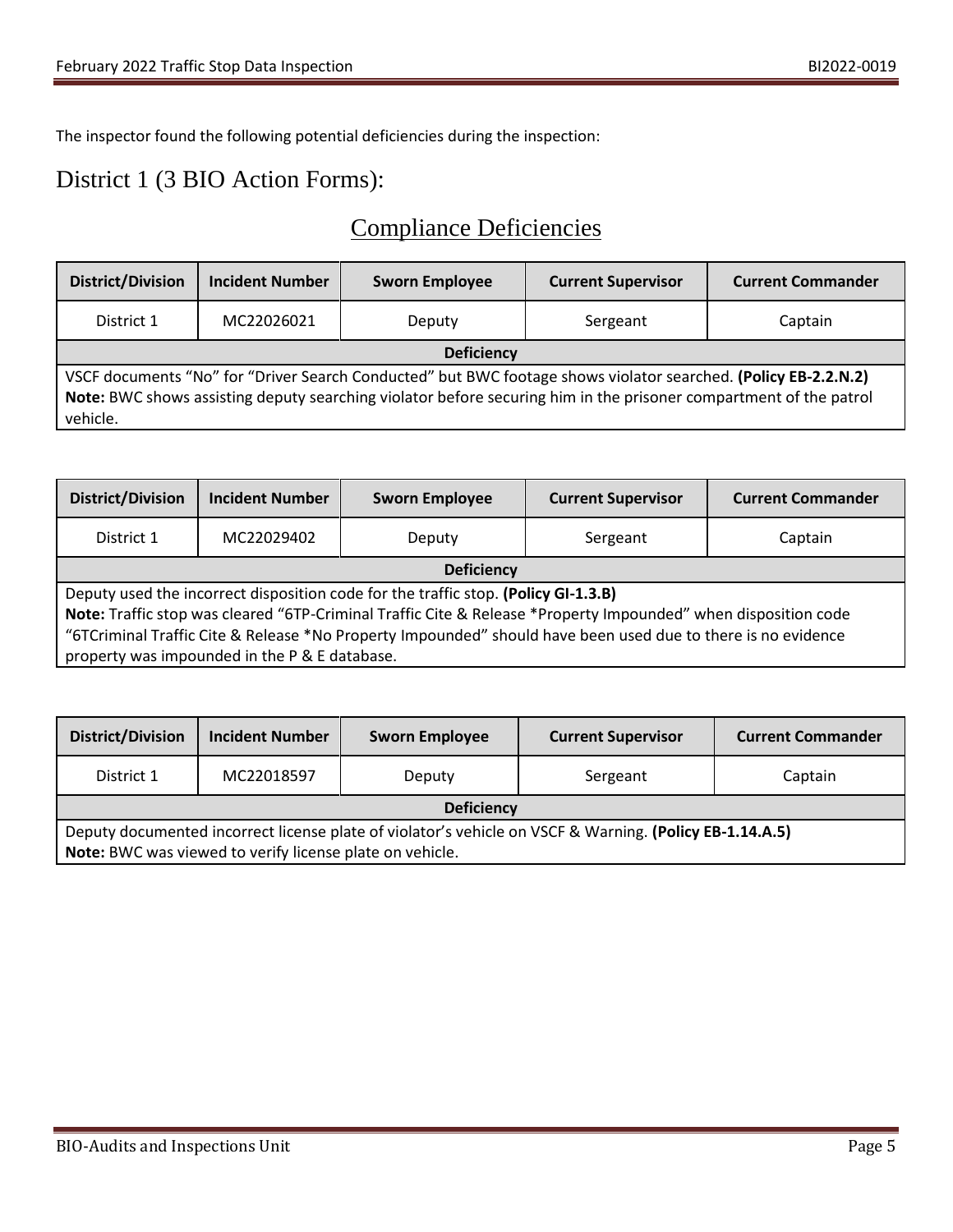The inspector found the following potential deficiencies during the inspection:

### District 1 (3 BIO Action Forms):

### Compliance Deficiencies

| <b>District/Division</b>                                                                                                                                                                                                                        | <b>Incident Number</b> | <b>Sworn Employee</b> | <b>Current Supervisor</b> | <b>Current Commander</b> |
|-------------------------------------------------------------------------------------------------------------------------------------------------------------------------------------------------------------------------------------------------|------------------------|-----------------------|---------------------------|--------------------------|
| District 1                                                                                                                                                                                                                                      | MC22026021             | Deputy                | Sergeant                  | Captain                  |
| <b>Deficiency</b>                                                                                                                                                                                                                               |                        |                       |                           |                          |
| VSCF documents "No" for "Driver Search Conducted" but BWC footage shows violator searched. (Policy EB-2.2.N.2)<br>Note: BWC shows assisting deputy searching violator before securing him in the prisoner compartment of the patrol<br>vehicle. |                        |                       |                           |                          |

| <b>District/Division</b>                                                                                       | <b>Incident Number</b> | <b>Sworn Employee</b> | <b>Current Supervisor</b> | <b>Current Commander</b> |  |
|----------------------------------------------------------------------------------------------------------------|------------------------|-----------------------|---------------------------|--------------------------|--|
| District 1                                                                                                     | MC22029402             | Deputy                | Sergeant                  | Captain                  |  |
|                                                                                                                | <b>Deficiency</b>      |                       |                           |                          |  |
| Deputy used the incorrect disposition code for the traffic stop. (Policy GI-1.3.B)                             |                        |                       |                           |                          |  |
| Note: Traffic stop was cleared "6TP-Criminal Traffic Cite & Release *Property Impounded" when disposition code |                        |                       |                           |                          |  |
| "6TCriminal Traffic Cite & Release *No Property Impounded" should have been used due to there is no evidence   |                        |                       |                           |                          |  |
| property was impounded in the P & E database.                                                                  |                        |                       |                           |                          |  |

| <b>District/Division</b>                                                                                                                                            | <b>Incident Number</b> | <b>Sworn Employee</b> | <b>Current Supervisor</b> | <b>Current Commander</b> |
|---------------------------------------------------------------------------------------------------------------------------------------------------------------------|------------------------|-----------------------|---------------------------|--------------------------|
| District 1                                                                                                                                                          | MC22018597             | Deputy                | Sergeant                  | Captain                  |
| <b>Deficiency</b>                                                                                                                                                   |                        |                       |                           |                          |
| Deputy documented incorrect license plate of violator's vehicle on VSCF & Warning. (Policy EB-1.14.A.5)<br>Note: BWC was viewed to verify license plate on vehicle. |                        |                       |                           |                          |